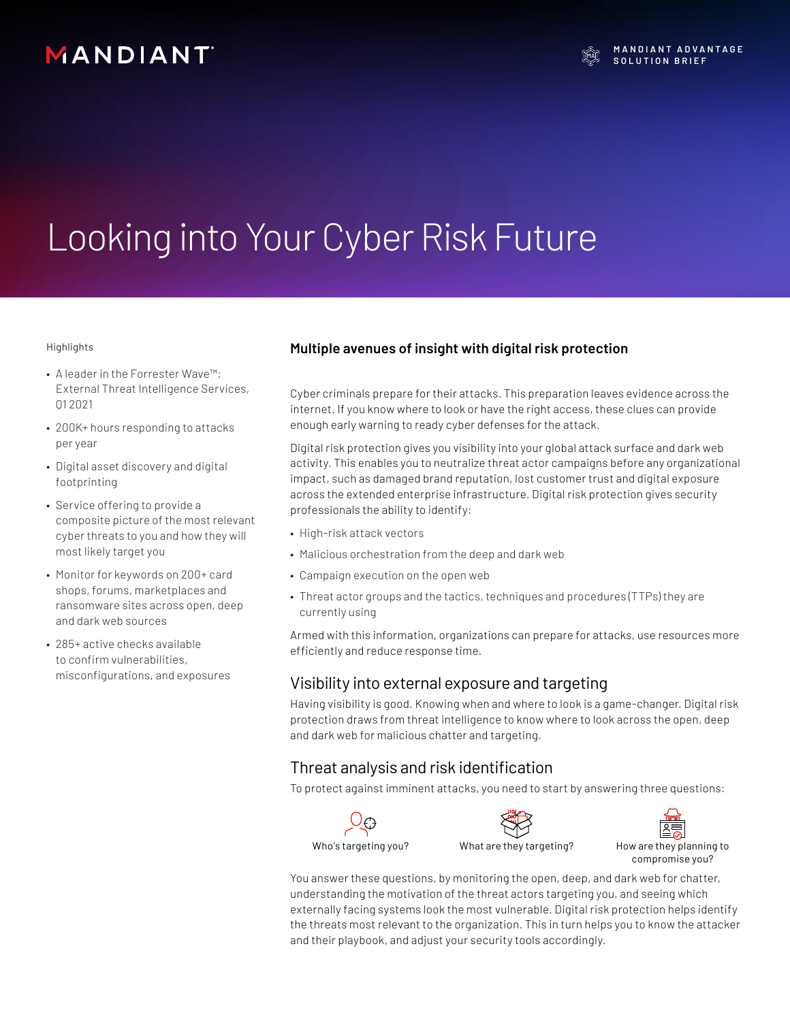# MANDIANT

**M A N D I A N T A D V A N T A G E SOLUTION BRIEF** 

# Looking into Your Cyber Risk Future

Highlights

- A leader in the Forrester Wave™: External Threat Intelligence Services, Q1 2021
- 200K+ hours responding to attacks per year
- Digital asset discovery and digital footprinting
- Service offering to provide a composite picture of the most relevant cyber threats to you and how they will most likely target you
- Monitor for keywords on 200+ card shops, forums, marketplaces and ransomware sites across open, deep and dark web sources
- 285+ active checks available to confirm vulnerabilities, misconfigurations, and exposures

#### **Multiple avenues of insight with digital risk protection**

Cyber criminals prepare for their attacks. This preparation leaves evidence across the internet. If you know where to look or have the right access, these clues can provide enough early warning to ready cyber defenses for the attack.

Digital risk protection gives you visibility into your global attack surface and dark web activity. This enables you to neutralize threat actor campaigns before any organizational impact, such as damaged brand reputation, lost customer trust and digital exposure across the extended enterprise infrastructure. Digital risk protection gives security professionals the ability to identify:

- High-risk attack vectors
- Malicious orchestration from the deep and dark web
- Campaign execution on the open web
- Threat actor groups and the tactics, techniques and procedures (TTPs) they are currently using

Armed with this information, organizations can prepare for attacks, use resources more efficiently and reduce response time.

#### Visibility into external exposure and targeting

Having visibility is good. Knowing when and where to look is a game-changer. Digital risk protection draws from threat intelligence to know where to look across the open, deep and dark web for malicious chatter and targeting.

#### Threat analysis and risk identification

To protect against imminent attacks, you need to start by answering three questions:







You answer these questions, by monitoring the open, deep, and dark web for chatter, understanding the motivation of the threat actors targeting you, and seeing which externally facing systems look the most vulnerable. Digital risk protection helps identify the threats most relevant to the organization. This in turn helps you to know the attacker and their playbook, and adjust your security tools accordingly.